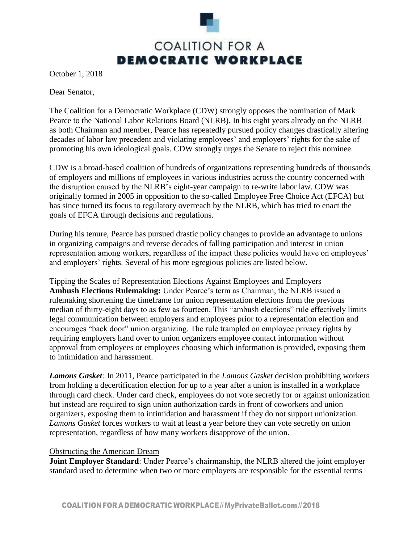

October 1, 2018

Dear Senator,

The Coalition for a Democratic Workplace (CDW) strongly opposes the nomination of Mark Pearce to the National Labor Relations Board (NLRB). In his eight years already on the NLRB as both Chairman and member, Pearce has repeatedly pursued policy changes drastically altering decades of labor law precedent and violating employees' and employers' rights for the sake of promoting his own ideological goals. CDW strongly urges the Senate to reject this nominee.

CDW is a broad-based coalition of hundreds of organizations representing hundreds of thousands of employers and millions of employees in various industries across the country concerned with the disruption caused by the NLRB's eight-year campaign to re-write labor law. CDW was originally formed in 2005 in opposition to the so-called Employee Free Choice Act (EFCA) but has since turned its focus to regulatory overreach by the NLRB, which has tried to enact the goals of EFCA through decisions and regulations.

During his tenure, Pearce has pursued drastic policy changes to provide an advantage to unions in organizing campaigns and reverse decades of falling participation and interest in union representation among workers, regardless of the impact these policies would have on employees' and employers' rights. Several of his more egregious policies are listed below.

Tipping the Scales of Representation Elections Against Employees and Employers **Ambush Elections Rulemaking:** Under Pearce's term as Chairman, the NLRB issued a rulemaking shortening the timeframe for union representation elections from the previous median of thirty-eight days to as few as fourteen. This "ambush elections" rule effectively limits legal communication between employers and employees prior to a representation election and encourages "back door" union organizing. The rule trampled on employee privacy rights by requiring employers hand over to union organizers employee contact information without approval from employees or employees choosing which information is provided, exposing them to intimidation and harassment.

*Lamons Gasket:* In 2011, Pearce participated in the *Lamons Gasket* decision prohibiting workers from holding a decertification election for up to a year after a union is installed in a workplace through card check. Under card check, employees do not vote secretly for or against unionization but instead are required to sign union authorization cards in front of coworkers and union organizers, exposing them to intimidation and harassment if they do not support unionization. *Lamons Gasket* forces workers to wait at least a year before they can vote secretly on union representation, regardless of how many workers disapprove of the union.

## Obstructing the American Dream

**Joint Employer Standard**: Under Pearce's chairmanship, the NLRB altered the joint employer standard used to determine when two or more employers are responsible for the essential terms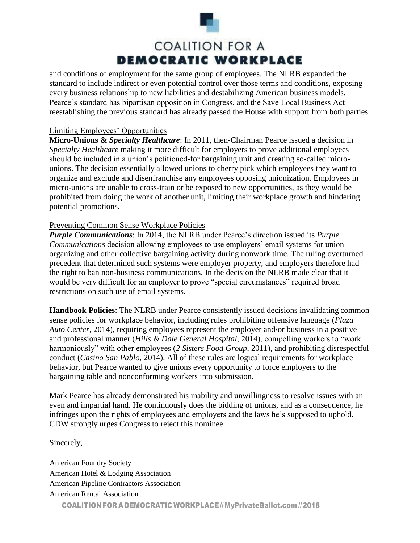

and conditions of employment for the same group of employees. The NLRB expanded the standard to include indirect or even potential control over those terms and conditions, exposing every business relationship to new liabilities and destabilizing American business models. Pearce's standard has bipartisan opposition in Congress, and the Save Local Business Act reestablishing the previous standard has already passed the House with support from both parties.

## Limiting Employees' Opportunities

**Micro-Unions &** *Specialty Healthcare*: In 2011, then-Chairman Pearce issued a decision in *Specialty Healthcare* making it more difficult for employers to prove additional employees should be included in a union's petitioned-for bargaining unit and creating so-called microunions. The decision essentially allowed unions to cherry pick which employees they want to organize and exclude and disenfranchise any employees opposing unionization. Employees in micro-unions are unable to cross-train or be exposed to new opportunities, as they would be prohibited from doing the work of another unit, limiting their workplace growth and hindering potential promotions.

## Preventing Common Sense Workplace Policies

*Purple Communications*: In 2014, the NLRB under Pearce's direction issued its *Purple Communications* decision allowing employees to use employers' email systems for union organizing and other collective bargaining activity during nonwork time. The ruling overturned precedent that determined such systems were employer property, and employers therefore had the right to ban non-business communications. In the decision the NLRB made clear that it would be very difficult for an employer to prove "special circumstances" required broad restrictions on such use of email systems.

**Handbook Policies**: The NLRB under Pearce consistently issued decisions invalidating common sense policies for workplace behavior, including rules prohibiting offensive language (*Plaza Auto Center*, 2014), requiring employees represent the employer and/or business in a positive and professional manner (*Hills & Dale General Hospital*, 2014), compelling workers to "work harmoniously" with other employees (*2 Sisters Food Group*, 2011), and prohibiting disrespectful conduct (*Casino San Pablo*, 2014). All of these rules are logical requirements for workplace behavior, but Pearce wanted to give unions every opportunity to force employers to the bargaining table and nonconforming workers into submission.

Mark Pearce has already demonstrated his inability and unwillingness to resolve issues with an even and impartial hand. He continuously does the bidding of unions, and as a consequence, he infringes upon the rights of employees and employers and the laws he's supposed to uphold. CDW strongly urges Congress to reject this nominee.

Sincerely,

COALITION FOR A DEMOCRATIC WORKPLACE // MyPrivateBallot.com//2018 American Foundry Society American Hotel & Lodging Association American Pipeline Contractors Association American Rental Association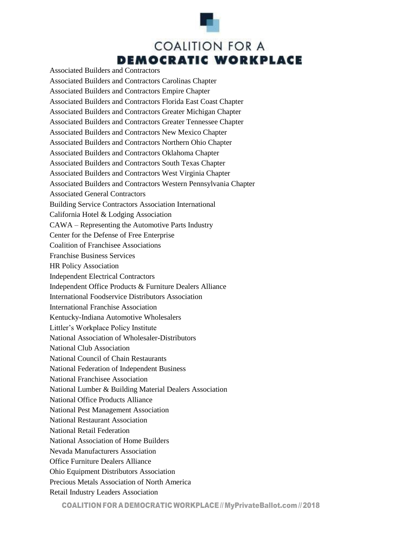

## **COALITION FOR A DEMOCRATIC WORKPLACE**

Associated Builders and Contractors Associated Builders and Contractors Carolinas Chapter Associated Builders and Contractors Empire Chapter Associated Builders and Contractors Florida East Coast Chapter Associated Builders and Contractors Greater Michigan Chapter Associated Builders and Contractors Greater Tennessee Chapter Associated Builders and Contractors New Mexico Chapter Associated Builders and Contractors Northern Ohio Chapter Associated Builders and Contractors Oklahoma Chapter Associated Builders and Contractors South Texas Chapter Associated Builders and Contractors West Virginia Chapter Associated Builders and Contractors Western Pennsylvania Chapter Associated General Contractors Building Service Contractors Association International California Hotel & Lodging Association CAWA – Representing the Automotive Parts Industry Center for the Defense of Free Enterprise Coalition of Franchisee Associations Franchise Business Services HR Policy Association Independent Electrical Contractors Independent Office Products & Furniture Dealers Alliance International Foodservice Distributors Association International Franchise Association Kentucky-Indiana Automotive Wholesalers Littler's Workplace Policy Institute National Association of Wholesaler-Distributors National Club Association National Council of Chain Restaurants National Federation of Independent Business National Franchisee Association National Lumber & Building Material Dealers Association National Office Products Alliance National Pest Management Association National Restaurant Association National Retail Federation National Association of Home Builders Nevada Manufacturers Association Office Furniture Dealers Alliance Ohio Equipment Distributors Association Precious Metals Association of North America Retail Industry Leaders Association